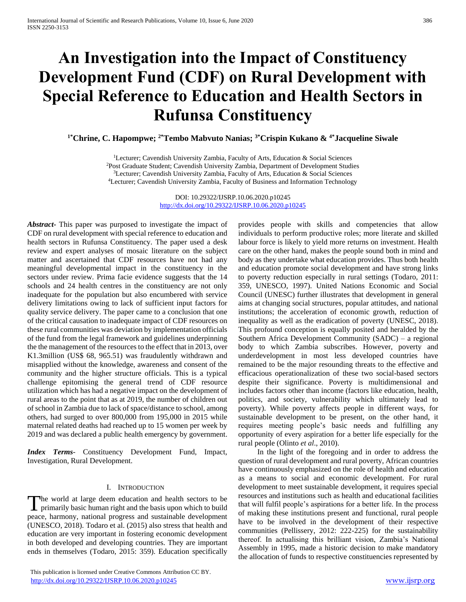# **An Investigation into the Impact of Constituency Development Fund (CDF) on Rural Development with Special Reference to Education and Health Sectors in Rufunsa Constituency**

**1\*Chrine, C. Hapompwe; 2\*Tembo Mabvuto Nanias; 3\*Crispin Kukano & 4\*Jacqueline Siwale**

<sup>1</sup>Lecturer; Cavendish University Zambia, Faculty of Arts, Education & Social Sciences Post Graduate Student; Cavendish University Zambia, Department of Development Studies Lecturer; Cavendish University Zambia, Faculty of Arts, Education & Social Sciences Lecturer; Cavendish University Zambia, Faculty of Business and Information Technology

> DOI: 10.29322/IJSRP.10.06.2020.p10245 <http://dx.doi.org/10.29322/IJSRP.10.06.2020.p10245>

*Abstract***-** This paper was purposed to investigate the impact of CDF on rural development with special reference to education and health sectors in Rufunsa Constituency. The paper used a desk review and expert analyses of mosaic literature on the subject matter and ascertained that CDF resources have not had any meaningful developmental impact in the constituency in the sectors under review. Prima facie evidence suggests that the 14 schools and 24 health centres in the constituency are not only inadequate for the population but also encumbered with service delivery limitations owing to lack of sufficient input factors for quality service delivery. The paper came to a conclusion that one of the critical causation to inadequate impact of CDF resources on these rural communities was deviation by implementation officials of the fund from the legal framework and guidelines underpinning the the management of the resources to the effect that in 2013, over K1.3million (US\$ 68, 965.51) was fraudulently withdrawn and misapplied without the knowledge, awareness and consent of the community and the higher structure officials. This is a typical challenge epitomising the general trend of CDF resource utilization which has had a negative impact on the development of rural areas to the point that as at 2019, the number of children out of school in Zambia due to lack of space/distance to school, among others, had surged to over 800,000 from 195,000 in 2015 while maternal related deaths had reached up to 15 women per week by 2019 and was declared a public health emergency by government.

*Index Terms*- Constituency Development Fund, Impact, Investigation, Rural Development.

#### I. INTRODUCTION

he world at large deem education and health sectors to be The world at large deem education and health sectors to be primarily basic human right and the basis upon which to build peace, harmony, national progress and sustainable development (UNESCO, 2018). Todaro et al. (2015) also stress that health and education are very important in fostering economic development in both developed and developing countries. They are important ends in themselves (Todaro, 2015: 359). Education specifically

provides people with skills and competencies that allow individuals to perform productive roles; more literate and skilled labour force is likely to yield more returns on investment. Health care on the other hand, makes the people sound both in mind and body as they undertake what education provides. Thus both health and education promote social development and have strong links to poverty reduction especially in rural settings (Todaro, 2011: 359, UNESCO, 1997). United Nations Economic and Social Council (UNESC) further illustrates that development in general aims at changing social structures, popular attitudes, and national institutions; the acceleration of economic growth, reduction of inequality as well as the eradication of poverty (UNESC, 2018). This profound conception is equally posited and heralded by the Southern Africa Development Community (SADC) – a regional body to which Zambia subscribes. However, poverty and underdevelopment in most less developed countries have remained to be the major resounding threats to the effective and efficacious operationalization of these two social-based sectors despite their significance. Poverty is multidimensional and includes factors other than income (factors like education, health, politics, and society, vulnerability which ultimately lead to poverty). While poverty affects people in different ways, for sustainable development to be present, on the other hand, it requires meeting people's basic needs and fulfilling any opportunity of every aspiration for a better life especially for the rural people (Olinto *et al*., 2010).

 In the light of the foregoing and in order to address the question of rural development and rural poverty, African countries have continuously emphasized on the role of health and education as a means to social and economic development. For rural development to meet sustainable development, it requires special resources and institutions such as health and educational facilities that will fulfil people's aspirations for a better life. In the process of making these institutions present and functional, rural people have to be involved in the development of their respective communities (Pellissery, 2012: 222-225) for the sustainability thereof. In actualising this brilliant vision, Zambia's National Assembly in 1995, made a historic decision to make mandatory the allocation of funds to respective constituencies represented by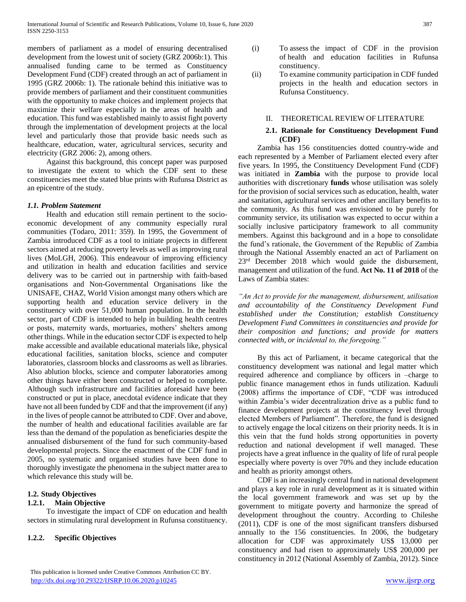members of parliament as a model of ensuring decentralised development from the lowest unit of society (GRZ 2006b:1). This annualised funding came to be termed as Constituency Development Fund (CDF) created through an act of parliament in 1995 (GRZ 2006b: 1). The rationale behind this initiative was to provide members of parliament and their constituent communities with the opportunity to make choices and implement projects that maximize their welfare especially in the areas of health and education. This fund was established mainly to assist fight poverty through the implementation of development projects at the local level and particularly those that provide basic needs such as healthcare, education, water, agricultural services, security and electricity (GRZ 2006: 2), among others.

 Against this background, this concept paper was purposed to investigate the extent to which the CDF sent to these constituencies meet the stated blue prints with Rufunsa District as an epicentre of the study.

### *1.1. Problem Statement*

 Health and education still remain pertinent to the socioeconomic development of any community especially rural communities (Todaro, 2011: 359). In 1995, the Government of Zambia introduced CDF as a tool to initiate projects in different sectors aimed at reducing poverty levels as well as improving rural lives (MoLGH, 2006). This endeavour of improving efficiency and utilization in health and education facilities and service delivery was to be carried out in partnership with faith-based organisations and Non-Governmental Organisations like the UNISAFE, CHAZ, World Vision amongst many others which are supporting health and education service delivery in the constituency with over 51,000 human population. In the health sector, part of CDF is intended to help in building health centres or posts, maternity wards, mortuaries, mothers' shelters among other things. While in the education sector CDF is expected to help make accessible and available educational materials like, physical educational facilities, sanitation blocks, science and computer laboratories, classroom blocks and classrooms as well as libraries. Also ablution blocks, science and computer laboratories among other things have either been constructed or helped to complete. Although such infrastructure and facilities aforesaid have been constructed or put in place, anecdotal evidence indicate that they have not all been funded by CDF and that the improvement (if any) in the lives of people cannot be attributed to CDF. Over and above, the number of health and educational facilities available are far less than the demand of the population as beneficiaries despite the annualised disbursement of the fund for such community-based developmental projects. Since the enactment of the CDF fund in 2005, no systematic and organised studies have been done to thoroughly investigate the phenomena in the subject matter area to which relevance this study will be.

# **1.2. Study Objectives**

# **1.2.1. Main Objective**

 To investigate the impact of CDF on education and health sectors in stimulating rural development in Rufunsa constituency.

# **1.2.2. Specific Objectives**

- (i) To assess the impact of CDF in the provision of health and education facilities in Rufunsa constituency.
- (ii) To examine community participation in CDF funded projects in the health and education sectors in Rufunsa Constituency.

### II. THEORETICAL REVIEW OF LITERATURE

## **2.1. Rationale for Constituency Development Fund (CDF)**

 Zambia has 156 constituencies dotted country-wide and each represented by a Member of Parliament elected every after five years. In 1995, the Constituency Development Fund (CDF) was initiated in **Zambia** with the purpose to provide local authorities with discretionary **funds** whose utilisation was solely for the provision of social services such as education, health, water and sanitation, agricultural services and other ancillary benefits to the community. As this fund was envisioned to be purely for community service, its utilisation was expected to occur within a socially inclusive participatory framework to all community members. Against this background and in a hope to consolidate the fund's rationale, the Government of the Republic of Zambia through the National Assembly enacted an act of Parliament on 23<sup>rd</sup> December 2018 which would guide the disbursement, management and utilization of the fund. **Act No. 11 of 2018** of the Laws of Zambia states:

*"An Act to provide for the management, disbursement, utilisation and accountability of the Constituency Development Fund established under the Constitution; establish Constituency Development Fund Committees in constituencies and provide for their composition and functions; and provide for matters connected with, or incidental to, the foregoing."* 

 By this act of Parliament, it became categorical that the constituency development was national and legal matter which required adherence and compliance by officers in –charge to public finance management ethos in funds utilization. Kaduuli (2008) affirms the importance of CDF, "CDF was introduced within Zambia's wider decentralization drive as a public fund to finance development projects at the constituency level through elected Members of Parliament". Therefore, the fund is designed to actively engage the local citizens on their priority needs. It is in this vein that the fund holds strong opportunities in poverty reduction and national development if well managed. These projects have a great influence in the quality of life of rural people especially where poverty is over 70% and they include education and health as priority amongst others.

 CDF is an increasingly central fund in national development and plays a key role in rural development as it is situated within the local government framework and was set up by the government to mitigate poverty and harmonize the spread of development throughout the country. According to Chileshe (2011), CDF is one of the most significant transfers disbursed annually to the 156 constituencies. In 2006, the budgetary allocation for CDF was approximately US\$ 13,000 per constituency and had risen to approximately US\$ 200,000 per constituency in 2012 (National Assembly of Zambia, 2012). Since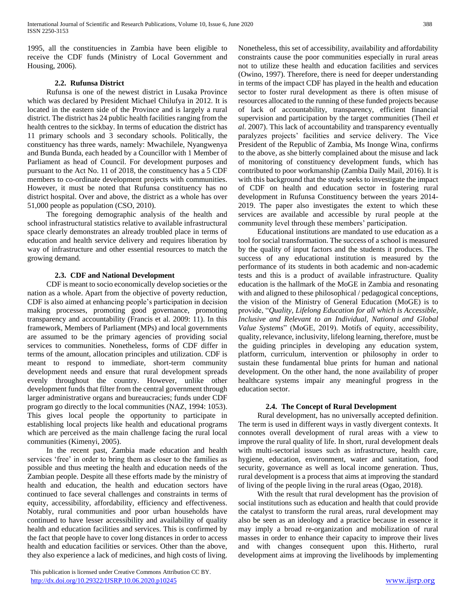1995, all the constituencies in Zambia have been eligible to receive the CDF funds (Ministry of Local Government and Housing, 2006).

### **2.2. Rufunsa District**

 Rufunsa is one of the newest district in Lusaka Province which was declared by President Michael Chilufya in 2012. It is located in the eastern side of the Province and is largely a rural district. The district has 24 public health facilities ranging from the health centres to the sickbay. In terms of education the district has 11 primary schools and 3 secondary schools. Politically, the constituency has three wards, namely: Mwachilele, Nyangwenya and Bunda Bunda, each headed by a Councillor with 1 Member of Parliament as head of Council. For development purposes and pursuant to the Act No. 11 of 2018, the constituency has a 5 CDF members to co-ordinate development projects with communities. However, it must be noted that Rufunsa constituency has no district hospital. Over and above, the district as a whole has over 51,000 people as population (CSO, 2010).

 The foregoing demographic analysis of the health and school infrastructural statistics relative to available infrastructural space clearly demonstrates an already troubled place in terms of education and health service delivery and requires liberation by way of infrastructure and other essential resources to match the growing demand.

### **2.3. CDF and National Development**

 CDF is meant to socio economically develop societies or the nation as a whole. Apart from the objective of poverty reduction, CDF is also aimed at enhancing people's participation in decision making processes, promoting good governance, promoting transparency and accountability (Francis et al. 2009: 11). In this framework, Members of Parliament (MPs) and local governments are assumed to be the primary agencies of providing social services to communities. Nonetheless, forms of CDF differ in terms of the amount, allocation principles and utilization. CDF is meant to respond to immediate, short-term community development needs and ensure that rural development spreads evenly throughout the country. However, unlike other development funds that filter from the central government through larger administrative organs and bureaucracies; funds under CDF program go directly to the local communities (NAZ, 1994: 1053). This gives local people the opportunity to participate in establishing local projects like health and educational programs which are perceived as the main challenge facing the rural local communities (Kimenyi, 2005).

 In the recent past, Zambia made education and health services 'free' in order to bring them as closer to the families as possible and thus meeting the health and education needs of the Zambian people. Despite all these efforts made by the ministry of health and education, the health and education sectors have continued to face several challenges and constraints in terms of equity, accessibility, affordability, efficiency and effectiveness. Notably, rural communities and poor urban households have continued to have lesser accessibility and availability of quality health and education facilities and services. This is confirmed by the fact that people have to cover long distances in order to access health and education facilities or services. Other than the above, they also experience a lack of medicines, and high costs of living.

 This publication is licensed under Creative Commons Attribution CC BY. <http://dx.doi.org/10.29322/IJSRP.10.06.2020.p10245> [www.ijsrp.org](http://ijsrp.org/)

Nonetheless, this set of accessibility, availability and affordability constraints cause the poor communities especially in rural areas not to utilize these health and education facilities and services (Owino, 1997). Therefore, there is need for deeper understanding in terms of the impact CDF has played in the health and education sector to foster rural development as there is often misuse of resources allocated to the running of these funded projects because of lack of accountability, transparency, efficient financial supervision and participation by the target communities (Theil *et al*. 2007). This lack of accountability and transparency eventually paralyzes projects' facilities and service delivery. The Vice President of the Republic of Zambia, Ms Inonge Wina, confirms to the above, as she bitterly complained about the misuse and lack of monitoring of constituency development funds, which has contributed to poor workmanship (Zambia Daily Mail, 2016). It is with this background that the study seeks to investigate the impact of CDF on health and education sector in fostering rural development in Rufunsa Constituency between the years 2014- 2019. The paper also investigates the extent to which these services are available and accessible by rural people at the community level through these members' participation.

 Educational institutions are mandated to use education as a tool for social transformation. The success of a school is measured by the quality of input factors and the students it produces. The success of any educational institution is measured by the performance of its students in both academic and non-academic tests and this is a product of available infrastructure. Quality education is the hallmark of the MoGE in Zambia and resonating with and aligned to these philosophical / pedagogical conceptions, the vision of the Ministry of General Education (MoGE) is to provide, "*Quality, Lifelong Education for all which is Accessible, Inclusive and Relevant to an Individual, National and Global Value Systems*" (MoGE, 2019). Motifs of equity, accessibility, quality, relevance, inclusivity, lifelong learning, therefore, must be the guiding principles in developing any education system, platform, curriculum, intervention or philosophy in order to sustain these fundamental blue prints for human and national development. On the other hand, the none availability of proper healthcare systems impair any meaningful progress in the education sector.

#### **2.4. The Concept of Rural Development**

 Rural development, has no universally accepted definition. The term is used in different ways in vastly divergent contexts. It connotes overall development of rural areas with a view to improve the rural quality of life. In short, rural development deals with multi-sectorial issues such as infrastructure, health care, hygiene, education, environment, water and sanitation, food security, governance as well as local income generation. Thus, rural development is a process that aims at improving the standard of living of the people living in the rural areas (Ogao, 2018).

 With the result that rural development has the provision of social institutions such as education and health that could provide the catalyst to transform the rural areas, rural development may also be seen as an ideology and a practice because in essence it may imply a broad re-organization and mobilization of rural masses in order to enhance their capacity to improve their lives and with changes consequent upon this. Hitherto, rural development aims at improving the livelihoods by implementing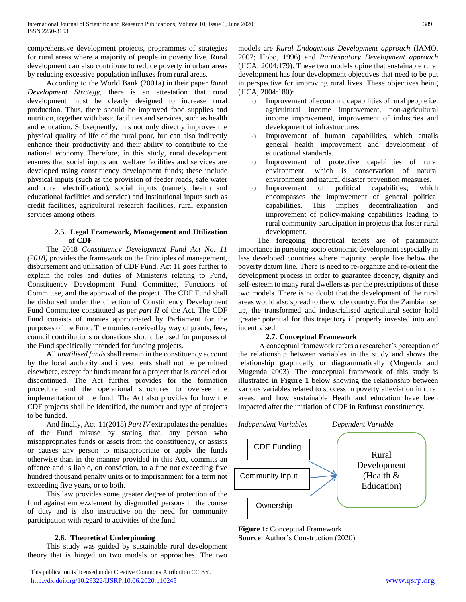comprehensive development projects, programmes of strategies for rural areas where a majority of people in poverty live. Rural development can also contribute to reduce poverty in urban areas by reducing excessive population influxes from rural areas.

 According to the World Bank (2001a) in their paper *Rural Development Strategy,* there is an attestation that rural development must be clearly designed to increase rural production. Thus, there should be improved food supplies and nutrition, together with basic facilities and services, such as health and education. Subsequently, this not only directly improves the physical quality of life of the rural poor, but can also indirectly enhance their productivity and their ability to contribute to the national economy. Therefore, in this study, rural development ensures that social inputs and welfare facilities and services are developed using constituency development funds; these include physical inputs (such as the provision of feeder roads, safe water and rural electrification), social inputs (namely health and educational facilities and service) and institutional inputs such as credit facilities, agricultural research facilities, rural expansion services among others.

# **2.5. Legal Framework, Management and Utilization of CDF**

 The 2018 *Constituency Development Fund Act No. 11 (2018)* provides the framework on the Principles of management, disbursement and utilisation of CDF Fund. Act 11 goes further to explain the roles and duties of Minister/s relating to Fund, Constituency Development Fund Committee, Functions of Committee, and the approval of the project. The CDF Fund shall be disbursed under the direction of Constituency Development Fund Committee constituted as per *part II* of the Act. The CDF Fund consists of monies appropriated by Parliament for the purposes of the Fund. The monies received by way of grants, fees, council contributions or donations should be used for purposes of the Fund specifically intended for funding projects.

 All *unutilised funds* shall remain in the constituency account by the local authority and investments shall not be permitted elsewhere, except for funds meant for a project that is cancelled or discontinued. The Act further provides for the formation procedure and the operational structures to oversee the implementation of the fund. The Act also provides for how the CDF projects shall be identified, the number and type of projects to be funded.

 And finally, Act. 11(2018) *Part IV* extrapolates the penalties of the Fund misuse by stating that, any person who misappropriates funds or assets from the constituency, or assists or causes any person to misappropriate or apply the funds otherwise than in the manner provided in this Act, commits an offence and is liable, on conviction, to a fine not exceeding five hundred thousand penalty units or to imprisonment for a term not exceeding five years, or to both.

 This law provides some greater degree of protection of the fund against embezzlement by disgruntled persons in the course of duty and is also instructive on the need for community participation with regard to activities of the fund.

# **2.6. Theoretical Underpinning**

 This study was guided by sustainable rural development theory that is hinged on two models or approaches. The two

 This publication is licensed under Creative Commons Attribution CC BY. <http://dx.doi.org/10.29322/IJSRP.10.06.2020.p10245> [www.ijsrp.org](http://ijsrp.org/)

models are *Rural Endogenous Development approach* (IAMO, 2007; Hobo, 1996) and *Participatory Development approach* (JICA, 2004:179). These two models opine that sustainable rural development has four development objectives that need to be put in perspective for improving rural lives. These objectives being (JICA, 2004:180):

- o Improvement of economic capabilities of rural people i.e. agricultural income improvement, non-agricultural income improvement, improvement of industries and development of infrastructures.
- o Improvement of human capabilities, which entails general health improvement and development of educational standards.
- o Improvement of protective capabilities of rural environment, which is conservation of natural environment and natural disaster prevention measures.
- o Improvement of political capabilities; which encompasses the improvement of general political capabilities. This implies decentralization and improvement of policy-making capabilities leading to rural community participation in projects that foster rural development.

 The foregoing theoretical tenets are of paramount importance in pursuing socio economic development especially in less developed countries where majority people live below the poverty datum line. There is need to re-organize and re-orient the development process in order to guarantee decency, dignity and self-esteem to many rural dwellers as per the prescriptions of these two models. There is no doubt that the development of the rural areas would also spread to the whole country. For the Zambian set up, the transformed and industrialised agricultural sector hold greater potential for this trajectory if properly invested into and incentivised.

# **2.7. Conceptual Framework**

 A conceptual framework refers a researcher's perception of the relationship between variables in the study and shows the relationship graphically or diagrammatically (Mugenda and Mugenda 2003). The conceptual framework of this study is illustrated in **Figure 1** below showing the relationship between various variables related to success in poverty alleviation in rural areas, and how sustainable Heath and education have been impacted after the initiation of CDF in Rufunsa constituency.



**Figure 1:** Conceptual Framework **Source**: Author's Construction (2020)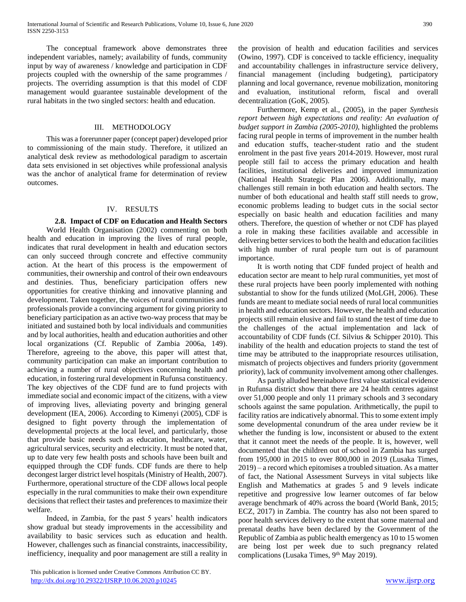The conceptual framework above demonstrates three independent variables, namely; availability of funds, community input by way of awareness / knowledge and participation in CDF projects coupled with the ownership of the same programmes / projects. The overriding assumption is that this model of CDF management would guarantee sustainable development of the rural habitats in the two singled sectors: health and education.

#### III. METHODOLOGY

 This was a forerunner paper (concept paper) developed prior to commissioning of the main study. Therefore, it utilized an analytical desk review as methodological paradigm to ascertain data sets envisioned in set objectives while professional analysis was the anchor of analytical frame for determination of review outcomes.

## IV. RESULTS

**2.8. Impact of CDF on Education and Health Sectors** World Health Organisation (2002) commenting on both health and education in improving the lives of rural people, indicates that rural development in health and education sectors can only succeed through concrete and effective community action. At the heart of this process is the empowerment of communities, their ownership and control of their own endeavours and destinies. Thus, beneficiary participation offers new opportunities for creative thinking and innovative planning and development. Taken together, the voices of rural communities and professionals provide a convincing argument for giving priority to beneficiary participation as an active two-way process that may be initiated and sustained both by local individuals and communities and by local authorities, health and education authorities and other local organizations (Cf. Republic of Zambia 2006a, 149). Therefore, agreeing to the above, this paper will attest that, community participation can make an important contribution to achieving a number of rural objectives concerning health and education, in fostering rural development in Rufunsa constituency. The key objectives of the CDF fund are to fund projects with immediate social and economic impact of the citizens, with a view of improving lives, alleviating poverty and bringing general development (IEA, 2006). According to Kimenyi (2005), CDF is designed to fight poverty through the implementation of developmental projects at the local level, and particularly, those that provide basic needs such as education, healthcare, water, agricultural services, security and electricity. It must be noted that, up to date very few health posts and schools have been built and equipped through the CDF funds. CDF funds are there to help decongest larger district level hospitals (Ministry of Health, 2007). Furthermore, operational structure of the CDF allows local people especially in the rural communities to make their own expenditure decisions that reflect their tastes and preferences to maximize their welfare.

 Indeed, in Zambia, for the past 5 years' health indicators show gradual but steady improvements in the accessibility and availability to basic services such as education and health. However, challenges such as financial constraints, inaccessibility, inefficiency, inequality and poor management are still a reality in

 This publication is licensed under Creative Commons Attribution CC BY. <http://dx.doi.org/10.29322/IJSRP.10.06.2020.p10245> [www.ijsrp.org](http://ijsrp.org/)

the provision of health and education facilities and services (Owino, 1997). CDF is conceived to tackle efficiency, inequality and accountability challenges in infrastructure service delivery, financial management (including budgeting), participatory planning and local governance, revenue mobilization, monitoring and evaluation, institutional reform, fiscal and overall decentralization (GoK, 2005).

 Furthermore, Kemp et al., (2005), in the paper *Synthesis report between high expectations and reality: An evaluation of budget support in Zambia (2005-2010),* highlighted the problems facing rural people in terms of improvement in the number health and education stuffs, teacher-student ratio and the student enrolment in the past five years 2014-2019. However, most rural people still fail to access the primary education and health facilities, institutional deliveries and improved immunization (National Health Strategic Plan 2006). Additionally, many challenges still remain in both education and health sectors. The number of both educational and health staff still needs to grow, economic problems leading to budget cuts in the social sector especially on basic health and education facilities and many others. Therefore, the question of whether or not CDF has played a role in making these facilities available and accessible in delivering better services to both the health and education facilities with high number of rural people turn out is of paramount importance.

 It is worth noting that CDF funded project of health and education sector are meant to help rural communities, yet most of these rural projects have been poorly implemented with nothing substantial to show for the funds utilized (MoLGH, 2006). These funds are meant to mediate social needs of rural local communities in health and education sectors. However, the health and education projects still remain elusive and fail to stand the test of time due to the challenges of the actual implementation and lack of accountability of CDF funds (Cf. Silvius & Schipper 2010). This inability of the health and education projects to stand the test of time may be attributed to the inappropriate resources utilisation, mismatch of projects objectives and funders priority (government priority), lack of community involvement among other challenges.

 As partly alluded hereinabove first value statistical evidence in Rufunsa district show that there are 24 health centres against over 51,000 people and only 11 primary schools and 3 secondary schools against the same population. Arithmetically, the pupil to facility ratios are indicatively abnormal. This to some extent imply some developmental conundrum of the area under review be it whether the funding is low, inconsistent or abused to the extent that it cannot meet the needs of the people. It is, however, well documented that the children out of school in Zambia has surged from 195,000 in 2015 to over 800,000 in 2019 (Lusaka Times, 2019) – a record which epitomises a troubled situation. As a matter of fact, the National Assessment Surveys in vital subjects like English and Mathematics at grades 5 and 9 levels indicate repetitive and progressive low learner outcomes of far below average benchmark of 40% across the board (World Bank, 2015; ECZ, 2017) in Zambia. The country has also not been spared to poor health services delivery to the extent that some maternal and prenatal deaths have been declared by the Government of the Republic of Zambia as public health emergency as 10 to 15 women are being lost per week due to such pregnancy related complications (Lusaka Times, 9<sup>th</sup> May 2019).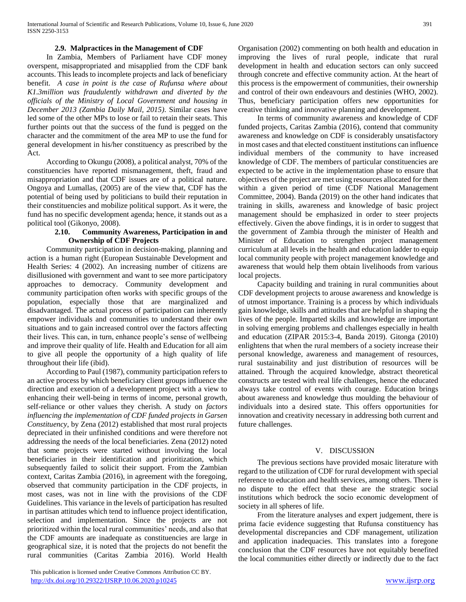#### **2.9. Malpractices in the Management of CDF**

 In Zambia, Members of Parliament have CDF money overspent, misappropriated and misapplied from the CDF bank accounts. This leads to incomplete projects and lack of beneficiary benefit. *A case in point is the case of Rufunsa where about K1.3million was fraudulently withdrawn and diverted by the officials of the Ministry of Local Government and housing in December 2013 (Zambia Daily Mail, 2015)*. Similar cases have led some of the other MPs to lose or fail to retain their seats. This further points out that the success of the fund is pegged on the character and the commitment of the area MP to use the fund for general development in his/her constituency as prescribed by the Act.

 According to Okungu (2008), a political analyst, 70% of the constituencies have reported mismanagement, theft, fraud and misappropriation and that CDF issues are of a political nature. Ongoya and Lumallas, (2005) are of the view that, CDF has the potential of being used by politicians to build their reputation in their constituencies and mobilize political support. As it were, the fund has no specific development agenda; hence, it stands out as a political tool (Gikonyo, 2008).

#### **2.10. Community Awareness, Participation in and Ownership of CDF Projects**

 Community participation in decision-making, planning and action is a human right (European Sustainable Development and Health Series: 4 (2002). An increasing number of citizens are disillusioned with government and want to see more participatory approaches to democracy. Community development and community participation often works with specific groups of the population, especially those that are marginalized and disadvantaged. The actual process of participation can inherently empower individuals and communities to understand their own situations and to gain increased control over the factors affecting their lives. This can, in turn, enhance people's sense of wellbeing and improve their quality of life. Health and Education for all aim to give all people the opportunity of a high quality of life throughout their life (ibid).

 According to Paul (1987), community participation refers to an active process by which beneficiary client groups influence the direction and execution of a development project with a view to enhancing their well-being in terms of income, personal growth, self-reliance or other values they cherish. A study on *factors influencing the implementation of CDF funded projects in Garsen Constituency*, by Zena (2012) established that most rural projects depreciated in their unfinished conditions and were therefore not addressing the needs of the local beneficiaries. Zena (2012) noted that some projects were started without involving the local beneficiaries in their identification and prioritization, which subsequently failed to solicit their support. From the Zambian context, Caritas Zambia (2016), in agreement with the foregoing, observed that community participation in the CDF projects, in most cases, was not in line with the provisions of the CDF Guidelines. This variance in the levels of participation has resulted in partisan attitudes which tend to influence project identification, selection and implementation. Since the projects are not prioritized within the local rural communities' needs, and also that the CDF amounts are inadequate as constituencies are large in geographical size, it is noted that the projects do not benefit the rural communities (Caritas Zambia 2016). World Health

 This publication is licensed under Creative Commons Attribution CC BY. http://dx.doi<u>.org/10.29322/IJSRP.10.06.2020.p10245</u> [www.ijsrp.org](http://ijsrp.org/)

Organisation (2002) commenting on both health and education in improving the lives of rural people, indicate that rural development in health and education sectors can only succeed through concrete and effective community action. At the heart of this process is the empowerment of communities, their ownership and control of their own endeavours and destinies (WHO, 2002). Thus, beneficiary participation offers new opportunities for creative thinking and innovative planning and development.

 In terms of community awareness and knowledge of CDF funded projects, Caritas Zambia (2016), contend that community awareness and knowledge on CDF is considerably unsatisfactory in most cases and that elected constituent institutions can influence individual members of the community to have increased knowledge of CDF. The members of particular constituencies are expected to be active in the implementation phase to ensure that objectives of the project are met using resources allocated for them within a given period of time (CDF National Management Committee, 2004). Banda (2019) on the other hand indicates that training in skills, awareness and knowledge of basic project management should be emphasized in order to steer projects effectively. Given the above findings, it is in order to suggest that the government of Zambia through the minister of Health and Minister of Education to strengthen project management curriculum at all levels in the health and education ladder to equip local community people with project management knowledge and awareness that would help them obtain livelihoods from various local projects.

 Capacity building and training in rural communities about CDF development projects to arouse awareness and knowledge is of utmost importance. Training is a process by which individuals gain knowledge, skills and attitudes that are helpful in shaping the lives of the people. Imparted skills and knowledge are important in solving emerging problems and challenges especially in health and education (ZIPAR 2015:3-4, Banda 2019). Gitonga (2010) enlightens that when the rural members of a society increase their personal knowledge, awareness and management of resources, rural sustainability and just distribution of resources will be attained. Through the acquired knowledge, abstract theoretical constructs are tested with real life challenges, hence the educated always take control of events with courage. Education brings about awareness and knowledge thus moulding the behaviour of individuals into a desired state. This offers opportunities for innovation and creativity necessary in addressing both current and future challenges.

#### V. DISCUSSION

 The previous sections have provided mosaic literature with regard to the utilization of CDF for rural development with special reference to education and health services, among others. There is no dispute to the effect that these are the strategic social institutions which bedrock the socio economic development of society in all spheres of life.

 From the literature analyses and expert judgement, there is prima facie evidence suggesting that Rufunsa constituency has developmental discrepancies and CDF management, utilization and application inadequacies. This translates into a foregone conclusion that the CDF resources have not equitably benefited the local communities either directly or indirectly due to the fact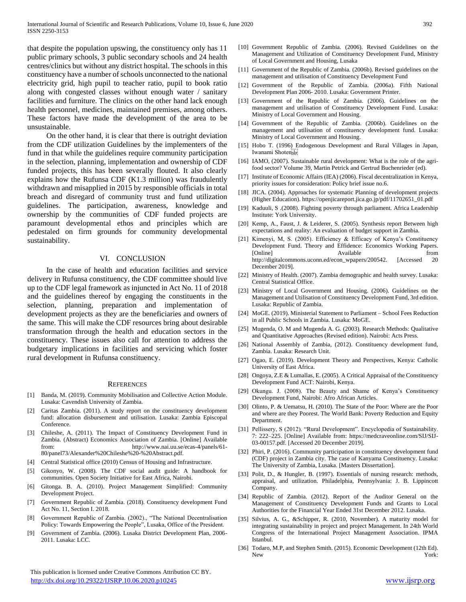that despite the population upswing, the constituency only has 11 public primary schools, 3 public secondary schools and 24 health centres/clinics but without any district hospital. The schools in this constituency have a number of schools unconnected to the national electricity grid, high pupil to teacher ratio, pupil to book ratio along with congested classes without enough water / sanitary facilities and furniture. The clinics on the other hand lack enough health personnel, medicines, maintained premises, among others. These factors have made the development of the area to be unsustainable.

 On the other hand, it is clear that there is outright deviation from the CDF utilization Guidelines by the implementers of the fund in that while the guidelines require community participation in the selection, planning, implementation and ownership of CDF funded projects, this has been severally flouted. It also clearly explains how the Rufunsa CDF (K1.3 million) was fraudulently withdrawn and misapplied in 2015 by responsible officials in total breach and disregard of community trust and fund utilization guidelines. The participation, awareness, knowledge and ownership by the communities of CDF funded projects are paramount developmental ethos and principles which are pedestaled on firm grounds for community developmental sustainability.

#### VI. CONCLUSION

 In the case of health and education facilities and service delivery in Rufunsa constituency, the CDF committee should live up to the CDF legal framework as injuncted in Act No. 11 of 2018 and the guidelines thereof by engaging the constituents in the selection, planning, preparation and implementation of development projects as they are the beneficiaries and owners of the same. This will make the CDF resources bring about desirable transformation through the health and education sectors in the constituency. These issues also call for attention to address the budgetary implications in facilities and servicing which foster rural development in Rufunsa constituency.

#### **REFERENCES**

- [1] Banda, M. (2019). Community Mobilisation and Collective Action Module. Lusaka: Cavendish University of Zambia.
- [2] Caritas Zambia. (2011). A study report on the constituency development fund: allocation disbursement and utilisation. Lusaka: Zambia Episcopal Conference.
- [3] Chileshe, A. (2011). The Impact of Constituency Development Fund in Zambia. (Abstract) Economics Association of Zambia. [Online] Available from: http://www.nai.uu.se/ecas-4/panels/61- 80/panel73/Alexander%20Chileshe%20-%20Abstract.pdf.
- [4] Central Statistical office (2010) Census of Housing and Infrastructure.
- [5] Gikonyo, W. (2008). The CDF social audit guide: A handbook for communities. Open Society Initiative for East Africa, Nairobi.
- [6] Gitonga. B. A. (2010). Project Management Simplified: Community Development Project.
- [7] Government Republic of Zambia. (2018). Constituency development Fund Act No. 11, Section I. 2018.
- [8] Government Republic of Zambia. (2002)., "The National Decentralisation Policy: Towards Empowering the People", Lusaka, Office of the President.
- Government of Zambia. (2006). Lusaka District Development Plan, 2006-2011. Lusaka: LCC.

 This publication is licensed under Creative Commons Attribution CC BY. <http://dx.doi.org/10.29322/IJSRP.10.06.2020.p10245> [www.ijsrp.org](http://ijsrp.org/)

- [10] Government Republic of Zambia. (2006). Revised Guidelines on the Management and Utilization of Constituency Development Fund, Ministry of Local Government and Housing, Lusaka
- [11] Government of the Republic of Zambia. (2006b). Revised guidelines on the management and utilisation of Constituency Development Fund
- [12] Government of the Republic of Zambia. (2006a). Fifth National Development Plan 2006- 2010. Lusaka: Government Printer.
- [13] Government of the Republic of Zambia. (2006). Guidelines on the management and utilisation of Constituency Development Fund. Lusaka: Ministry of Local Government and Housing.
- [14] Government of the Republic of Zambia. (2006b). Guidelines on the management and utilisation of constituency development fund. Lusaka: Ministry of Local Government and Housing.
- [15] Hobo T. (1996) Endogenous Development and Rural Villages in Japan, Iwanami Shoten
- [16] IAMO, (2007). Sustainable rural development: What is the role of the agrifood sector? Volume 39, Martin Petrick and Gertrud Buchenrieder (ed).
- [17] Institute of Economic Affairs (IEA) (2006). Fiscal decentralization in Kenya, priority issues for consideration: Policy brief issue no.6.
- [18] JICA. (2004). Approaches for systematic Planning of development projects (Higher Education). https://openjicareport.jica.go.jp/pdf/11702651\_01.pdf
- [19] Kaduuli, S .(2008). Fighting poverty through parliament. Africa Leadership Institute: York University.
- [20] Kemp, A., Faust, J. & Leiderer, S. (2005). Synthesis report Between high expectations and reality: An evaluation of budget support in Zambia.
- [21] Kimenyi, M, S. (2005). Efficiency & Efficacy of Kenya's Constituency Development Fund. Theory and Effidence: Economics Working Papers. [Online] Available from http://digitalcommons.uconn.ed/econ\_wpapers/200542. [Accessed 20 December 2019].
- [22] Ministry of Health. (2007). Zambia demographic and health survey. Lusaka: Central Statistical Office.
- [23] Ministry of Local Government and Housing. (2006). Guidelines on the Management and Utilisation of Constituency Development Fund, 3rd edition. Lusaka: Republic of Zambia.
- [24] MoGE. (2019). Ministerial Statement to Parliament School Fees Reduction in all Public Schools in Zambia. Lusaka: MoGE.
- [25] Mugenda, O. M and Mugenda A. G. (2003). Research Methods: Qualitative and Quantitative Approaches (Revised edition). Nairobi: Acts Press.
- [26] National Assembly of Zambia, (2012). Constituency development fund, Zambia. Lusaka: Research Unit.
- [27] Ogao, E. (2019). Development Theory and Perspectives, Kenya: Catholic University of East Africa.
- [28] Ongoya, Z.E & Lumallas, E. (2005). A Critical Appraisal of the Constituency Development Fund ACT: Nairobi, Kenya.
- [29] Okungu. J. (2008). The Beauty and Shame of Kenya's Constituency Development Fund, Nairobi: Afro African Articles.
- [30] Olinto, P. & Uematsu, H. (2010). The State of the Poor: Where are the Poor and where are they Poorest. The World Bank: Poverty Reduction and Equity Department.
- [31] Pellissery, S (2012). "Rural Development". Encyclopedia of Sustainability. 7: 222–225. [Online] Available from: https://medcraveonline.com/SIJ/SIJ-03-00157.pdf. [Accessed 20 December 2019].
- [32] Phiri, P. (2016). Community participation in constituency development fund (CDF) project in Zambia city. The case of Kanyama Constituency. Lusaka: The University of Zambia, Lusaka. [Masters Dissertation].
- [33] Polit, D., & Hungler, B. (1997). Essentials of nursing research: methods, appraisal, and utilization. Philadelphia, Pennsylvania: J. B. Lippincott Company.
- [34] Republic of Zambia. (2012). Report of the Auditor General on the Management of Constituency Development Funds and Grants to Local Authorities for the Financial Year Ended 31st December 2012. Lusaka.
- [35] Silvius, A. G., &Schipper, R. (2010, November). A maturity model for integrating sustainability in project and project Management. In 24th World Congress of the International Project Management Association. IPMA Istanbul.
- [36] Todaro, M.P, and Stephen Smith. (2015). Economic Development (12th Ed). New York: